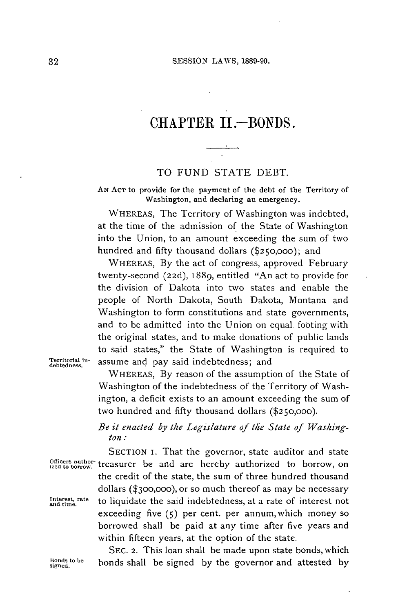# CHAPTER **1I.-BONDS.**

#### TO **FUND STATE** DEBT.

**AN ACT** to provide for the payment of the debt of the Territory of Washington, and declaring an emergency.

WHEREAS, The Territory of Washington was indebted, at the time of the admission of the State of Washington into the Union, to an amount exceeding the sum of two hundred and **fifty** thousand dollars **(\$250,000);** and

WHEREAS, **By** the act of congress, approved February twenty-second **(22d),** 1889, entitled "An act to provide for the division of Dakota into two states and enable the people of North Dakota, South Dakota, Montana and Washington to form constitutions and state governments, and to be admitted into the Union on equal footing with the original states, and to make donations of public lands to said states," the State of Washington is required to **Territorial In-** assume and pay said indebtedness; and **debtedness.**

WHEREAS, **By** reason of the assumption of the State of Washington of the indebtedness of the Territory of Washington, a deficit exists to an amount exceeding the sum of two hundred and **fifty** thousand dollars **(\$250,000).**

## *Be it enacted by the Legislature of the State of Waskington:*

**SECTION** i. That the governor, state auditor and state Officers author- treasurer be and are hereby authorized to borrow, on the credit of the state, the sum of three hundred thousand dollars **(\$300,000),** or so much thereof as may be necessary **ant rate** to liquidate the said indebtedness, at a rate of interest not exceeding five **(5)** per cent. per annum,which money so borrowed shall be paid at any time after five years and within fifteen years, at the option of the state.

**SEC.** 2. This loan shall be made upon state bonds, which Bonds to be **bonds** shall be signed by the governor and attested by signed.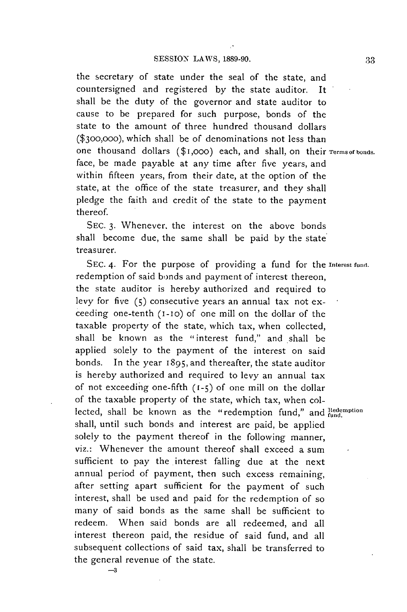the secretary of state under the seal of the state, and countersigned and registered **by** the state auditor. It shall be the duty of the governor and state auditor to cause to be prepared for such purpose, bonds of the state to the amount of three hundred thousand dollars **(\$300,000),** which shall be of denominations not less than one thousand dollars (\$1,000) each, and shall, on their *Terms of bonds.* face, be made payable at any time after five years, and within fifteen years, from their date, at the option of the state, at the office of the state treasurer, and they shall pledge the faith and credit of the state to the payment thereof.

**SEC. 3.** Whenever, the interest on the above bonds shall become due, the same shall be paid **by** the state treasurer.

SEC. 4. For the purpose of providing a fund for the **Interest fund.** redemption of said bonds and payment of interest thereon, the state auditor is hereby authorized and required to levy for five **(5)** consecutive years an annual tax not exceeding one-tenth (i-lo) of one mill on the dollar of the taxable property of the state, which tax, when collected, shall be known as the "interest fund," and shall be applied solely to the payment of the interest on said bonds. In the year **1895,** and thereafter, the state auditor is hereby authorized and required to levy an annual tax of not exceeding one-fifth (1-5) of one mill on the dollar of the taxable property **of** the state, which tax, when collected, shall be known as the "redemption fund," and **Redemption** shall, until such bonds and interest are paid, be applied solely to the payment thereof in the following manner, viz.: Whenever the amount thereof shall exceed a sum sufficient to pay the interest falling due at the next annual period of payment, then such excess remaining, after setting apart sufficient for the payment of such interest, shall be used and paid for the redemption of so many of said bonds as the same shall be sufficient to redeem. When said bonds are all redeemed, and all interest thereon paid, the residue of said fund, and all subsequent collections of said tax, shall be transferred to the general revenue of the state.

-3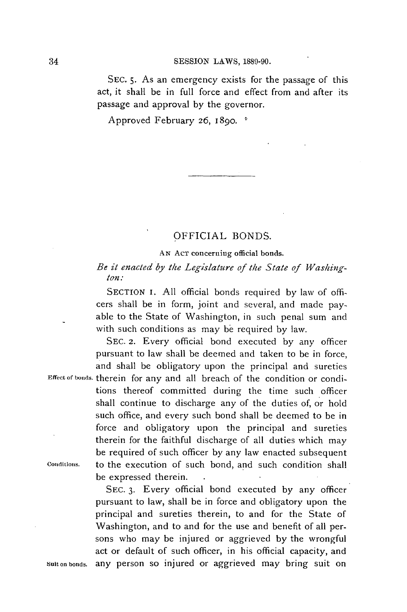#### **SESSION** LAWS, **1889-90.**

**SEC. 5.** As an emergency exists for the passage of this act, it shall be in full force and effect from and after its passage and approval **by** the governor.

Approved February **26,** 1890.

### OFFICIAL **BONDS.**

#### **AN ACT concerning official** bonds.

### *Be it enacted by the Legislature of the State of Washington:*

**SECTION** I. **All** official bonds required **by** law of officers shall be in form, joint and several, and made payable to the State of Washington, in such penal sum and with such conditions as may be required **by** law.

**SEC. 2.** Every official bond executed **by** any officer pursuant to law shall be deemed and taken to be in force, and shall be obligatory upon the principal and sureties

Effect of bonds. therein for any and all breach of the condition or conditions thereof committed during the time such officer shall continue to discharge any of the duties of, or hold such office, and every such bond shall be deemed to be in force and obligatory upon the principal and sureties therein for the faithful discharge of all duties which may be required of such officer **by** any law enacted subsequent **Coiditions.** to the execution of such bond, and such condition shall be expressed therein.

**SEC. 3.** Every official bond executed **by** any officer pursuant to law, shall **be** in force and obligatory upon the principal and sureties therein, to and for the State of Washington, and to and for the use and benefit of all persons who may be injured or aggrieved **by** the wrongful act or default of such officer, in his official capacity, and Suitonbonds. any person so injured or aggrieved may bring suit on

34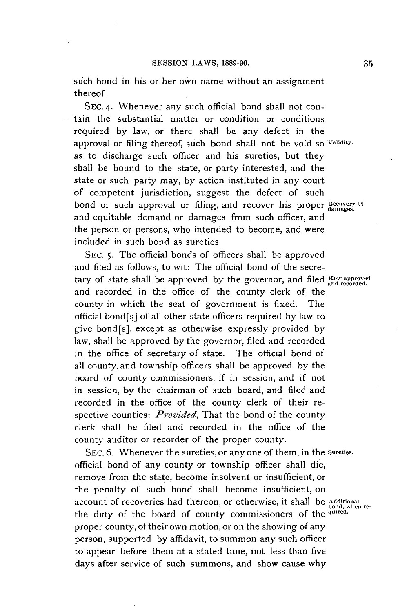such bond in his or her own name without an assignment thereof

**SEC.** 4. Whenever any such official bond shall not contain the substantial matter or condition or conditions required **by** law, or there shall be any defect in the approval or filing thereof, such bond shall not be void so Validity. as to discharge such officer and his sureties, but they shall be bound to the state, or party interested, and the state or such party may, **by** action instituted in any court of competent jurisdiction, suggest the defect of such bond or such approval or filing, and recover his proper **Recovery of** and equitable demand or damages from such officer, and the person or persons, who intended to become, and were included in such bond as sureties.

**SEC. 5.** The official bonds of officers shall be approved and filed as follows, to-wit: The official bond of the secretary of state shall be approved by the governor, and filed How approved tary of state shall be approved by the governor, and filed  $\frac{1}{\text{and recorded.}}$ and recorded in the office of the county clerk of the county in which the seat of government is fixed. The official bond[s] of all other state officers required **by** law to give bond[s], except as otherwise expressly provided **by** law, shall be approved **by** the governor, filed and recorded in the office of secretary of state. The official bond of all county.and township officers shall be approved **by** the board of county commissioners, if in session, and if not in session, **by** the chairman of such board, and filed and recorded in the office of the county clerk of their respective counties: *Provided,* That the bond of the county clerk shall **be** filed and recorded in the office of the county auditor or recorder of the proper county.

**SEC. 6.** Whenever the sureties, or any one of them, in the **Sureties.** official bond of any county or township officer shall die, remove from the state, become insolvent or insufficient, or the penalty of such bond shall become insufficient, on account of recoveries had thereon, or otherwise, it shall be Additional<br>the duty of the board of county commissioners of the <sup>quired</sup>. proper county, of their own motion, or on the showing of any person, supported **by** affidavit, to summon any such officer to appear before them at a stated time, not less than five days after service of such summons, and show cause why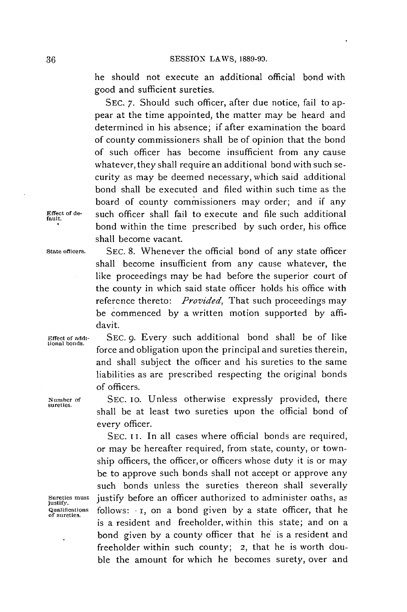he should not execute an additional official bond with good and sufficient sureties.

**SEC. 7.** Should such officer, after due notice, fail to appear at the time appointed, the matter may be heard and determined in his absence; if after examination the board of county commissioners shall be of opinion that the bond of such officer has become insufficient from any cause whatever, they shall require an additional bond with such security as may be deemed necessary, which said additional bond shall be executed and filed within such time as the board of county commissioners may order; and if any **Effect of de-** such officer shall fail to execute and file such additional **fault.** bond within the time prescribed **by** such order, his office shall become vacant.

**State officers. SEC. 8.** Whenever the official bond of any state officer shall become insufficient from any cause whatever, the like proceedings may be had before the superior court of the county in which said state officer holds his office with reference thereto: *Provided,* That such proceedings may be commenced **by** a written motion supported **by** affidavit.

**Effect of addi- SEC. 9.** Every such additional bond shall be of like **tional bonds.** force and obligation upon the principal and sureties therein,

every officer.

of officers. **Number of SEC. 10.** Unless otherwise expressly provided, there **sureties.** shall **be** at least two sureties upon the official bond of

and shall subject the officer and his sureties to the same liabilities as are prescribed respecting the original bonds

SEC. II. In all cases where official bonds are required, or may **be** hereafter required, from state, county, or township officers, the officer,or officers whose duty it is or may be to approve such bonds shall not accept or approve any such bonds unless the sureties thereon shall severally Sureties must justify before an officer authorized to administer oaths, as qualifications follows: **1**, on a bond given by a state officer, that he of sureties. follows: **1**, on a bond given by a state officer, that he is a resident and freeholder, within this state; and on a bond given **by** a county officer that he is a resident and freeholder within such county; **2,** that he is worth double the amount for which he becomes surety, over and

**36**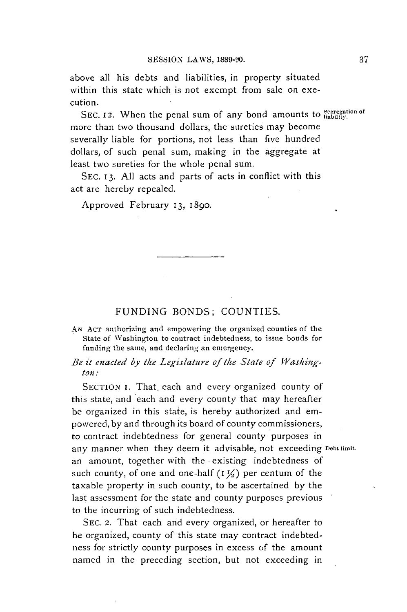above all his debts and liabilities, in property situated within this state which is not exempt from sale on execution.

SEC. 12. When the penal sum of any bond amounts to Segregation of more than two thousand dollars, the sureties may become severally liable for portions, not less than five hundred dollars, of such penal sum, making in the aggregate at least two sureties for the whole penal sum.

**SEC. 13. All** acts and parts of acts in conflict with this act are hereby repealed.

Approved February **13, 1890.**

#### **FUNDING BONDS; COUNTIES.**

**AN ACT** authorizing and empowering the organized counties of the State of Washington to contract indebtedness, to issue bonds for funding the same, and declaring an emergency.

### Be it enacted by the Legislature of the State of Washing*ton:*

SECTION I. That each and every organized county of this state, and each and every county that may hereafter **be** organized in this state, is hereby authorized and empowered, **by** and through its board of county commissioners, to contract indebtedness for general county purposes in any manner when they deem it advisable, not exceeding **Debt limit.** an amount, together with the existing indebtedness of such county, of one and one-half **(I Y,)** per centum of the taxable property in such county, to be ascertained **by** the last assessment for the state and county purposes previous to the incurring of such indebtedness.

**SEC.** 2. That each and every organized, or hereafter to be organized, county of this state may contract indebtedness for strictly county purposes in excess of the amount named in the preceding section, but not exceeding in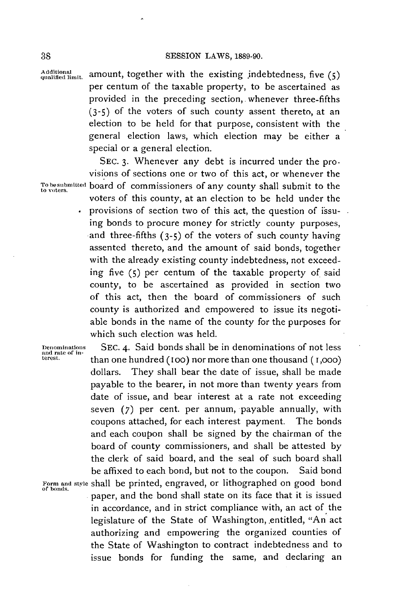fi **mit.** amount, together with the existing jndebtedness, five **(5)** per centum of the taxable property, to be ascertained as provided in the preceding section,. whenever three-fifths **(3-5)** of the voters of such county assent thereto, at an election to be held for that purpose, consistent with the general election laws, which election may be either a special or a general election.

**SEC. 3.** Whenever any debt is incurred under the provisions of sections one or two of this act, or whenever the **Tobesubmitted** board of commissioners of any county shall submit to the **to voters.** voters of this county, at an election to be held under the provisions of section two of this act, the question of issuing bonds to procure money for strictly county purposes, and three-fifths **(3-5) of** the voters of such county having assented thereto, and the amount of said bonds, together with the already existing county indebtedness, not exceeding five **(5)** per centum of the taxable property of said county, to be ascertained as provided in section two of this act, then the board of commissioners of such county is authorized and empowered to issue its negotiable bonds in the name of the county for the purposes for which such election was held.

**Denominations SEC.** 4. Said bonds shall be in denominations of not less **and rate of in- terest.** than one hundred **(oo)** nor more than one thousand **(1,000)** dollars. They shall bear the date of issue, shall be made payable to the bearer, in not more than twenty years from date of issue, and bear interest at a rate not exceeding seven **(7)** per cent. per annum, payable annually, with coupons attached, for each interest payment. The bonds and each coupon shall be signed **by** the chairman of the board of county commissioners, and shall be attested **by** the clerk of said board, and the seal of such board shall be affixed to each bond, but not to the coupon. Said bond Form and style shall be printed, engraved, or lithographed on good bond of bonds. . paper, and the bond shall state on its face that it is issued in accordance, and in strict compliance with, an act of the legislature of the State of Washington, entitled, "An act authorizing and empowering the organized counties of the State of Washington to contract indebtedness and to issue bonds for funding the same, and declaring an

**38**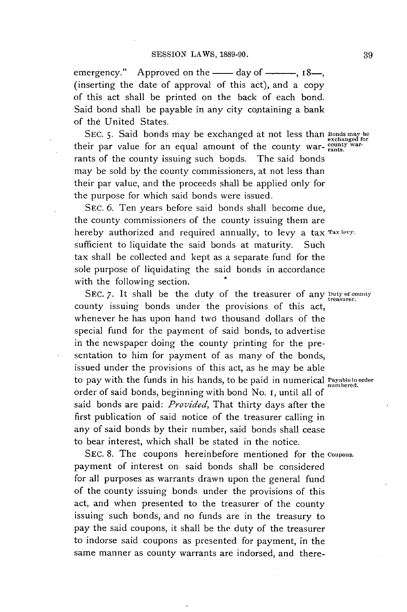emergency." Approved on the  $\_\_\_\_\$  day of  $\_\_\_\_\_\_\$  18 $\_\_\_\_\_\$ (inserting the date of approval of this act), and a copy of this act shall be printed on the back of each bond. Said bond shall be payable in any city containing a bank of the United States.

**SEC. 5.** Said bonds may **be** exchanged at not less than **Bonds rnay be** exchanged for their par value for an equal amount of the county war- counts. rants of the county issuing such bonds. The said bonds may be sold **by** the county commissioners, at not less than their par value, and the proceeds shall be applied only for the purpose for which said bonds were issued.

SEC. 6. Ten years before said bonds shall become due, the county commissioners of the county issuing them are hereby authorized and required annually, to levy a tax **rax levy.** sufficient to liquidate the said bonds at maturity. Such tax shall be collected and kept as a separate fund for the sole purpose of liquidating the said bonds in accordance with the following section.

SEC. 7. It shall be the duty of the treasurer of any **Duty of county** county issuing bonds under the provisions of this act, whenever he has upon hand two thousand dollars of the special fund for the payment of said bonds, to advertise in the newspaper doing the county printing for the presentation to him for payment of as many of the bonds, issued under the provisions of this act, as he may be able to pay with the funds in his hands, to be paid in numerical **Payableinorder** numbered. order of said bonds, beginning with bond No. i, until all **of** said bonds are paid: *Provided,* That thirty days after the first publication of said notice of the treasurer calling in any of said bonds **by** their number, said bonds shall cease to bear interest, which shall be stated in the notice.

SEC. **8.** The coupons hereinbefore mentioned for the **coupons.** payment of interest on said bonds shall be considered for all purposes as warrants drawn upon the general fund of the county issuing bonds under the provisions of this act, and when presented to the treasurer of the county issuing such bonds, and no funds are in the treasury to pay the said coupons, it shall be the duty of the treasurer to indorse said coupons as presented for payment, in the same manner as county warrants are indorsed, and there-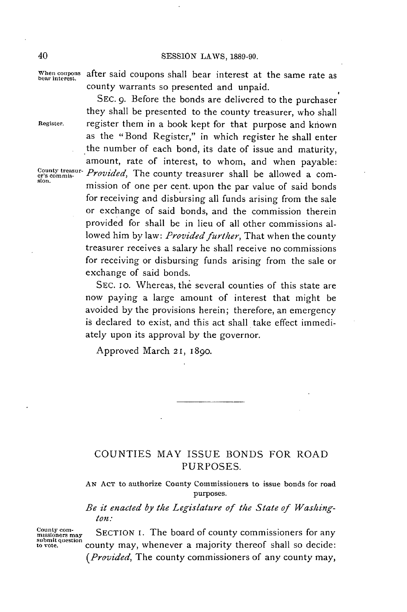**When coupons** after said coupons shall bear interest at the same rate as **bear interest.** county warrants so presented and unpaid.

**SEC. 9.** Before the bonds are delivered to the purchaser they shall be presented to the county treasurer, who shall **Register.** register them in a book kept for that purpose and known as the "Bond Register," in which register he shall enter the number of each bond, its date of issue and maturity, amount, rate of interest, to whom, and when payable:<br>Provided, The county treasurer shall be allowed a com-<sup>County treasur- *Provided*, The county treasurer shall be allowed a com-<br>sion. **mission** of one per cent. upon the par value of said bonds</sup> for receiving and disbursing all funds arising from the sale or exchange of said bonds, and the commission therein provided for shall be in lieu of all other commissions allowed him **by** law: *Provided further,* That when the county treasurer receives a salary he shall receive no commissions for receiving or disbursing funds arising from the sale or exchange of said bonds.

> **SEC. 10.** Whereas, the several counties of this state are now paying a large amount of interest that might be avoided **by** the provisions herein; therefore, an emergency is declared to exist, and this act shall take effect immediately upon its approval **by** the governor.

Approved March **2 1, 1 890.**

## **COUNTIES** MAY **ISSUE BONDS** FOR ROAD **PURPOSES.**

**AN ACT** to authorize County Commissioners to issue bonds for road purposes.

*Be it enacted by the Legislature of the State of Washington:*

County com-<br>missioners may **SECTION I.** The board of county commissioners for any submit question<br>to vote. <br>to vote. *(Provided,* The county commissioners of any county may,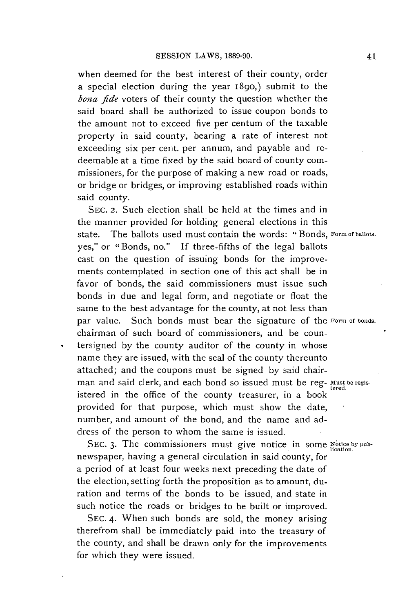when deemed for the best interest of their county, order a special election during the year 1890,) submit to the *bona fide* voters of their county the question whether the said board shall be authorized to issue coupon bonds to the amount not to exceed five per centum of the taxable property in said county, bearing a rate of interest not exceeding six per cent. per annum, and payable and redeemable at a time fixed **by** the said board of county commissioners, for the purpose of making a new road or roads, or bridge or bridges, or improving established roads within said county.

**SEc.** 2. Such election shall be held at the times and in the manner provided for holding general elections in this state. The ballots used must contain the words: "Bonds, **Form ofballots.** yes," or "Bonds, no." **If** three-fifths of the legal ballots cast on the question of issuing bonds for the improvements contemplated in section one of this act shall be in favor of bonds, the said commissioners must issue such bonds in due and legal form, and negotiate or float the same to the best advantage for the county, at not less than par value. Such bonds must bear the signature of the **Form of bonds.** chairman of such board of commissioncrs, and be countersigned **by** the county auditor of the county in whose name they are issued, with the seal of the county thereunto attached; and the coupons must be signed **by** said chairman and said clerk, and each bond so issued must be reg- Must be regisistered in the office of the county treasurer, in a book provided for that purpose, which must show the date, number, and amount of the bond, and the name and address of the person to whom the same is issued.

SEC. 3. The commissioners must give notice in some Notice by pubnewspaper, having a general circulation in said county, for a period of at least four weeks next preceding the date of the election, setting forth the proposition as to amount, duration and terms of the bonds to be issued, and state in such notice the roads or bridges to be built or improved.

**SEC.** 4. When such bonds are sold, the money arising therefrom shall be immediately paid into the treasury of the county, and shall be drawn only for the improvements for which they were issued.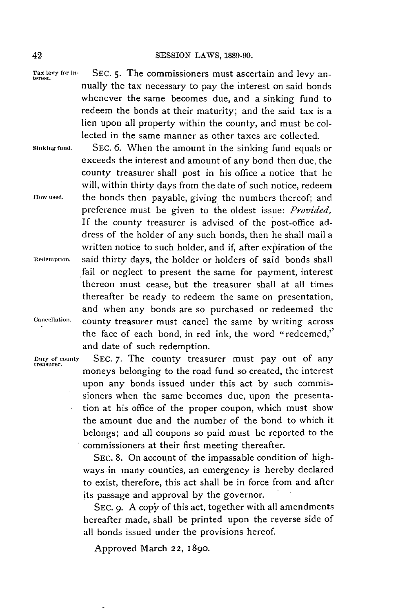exceeds the interest and amount of any bond then due, the county treasurer shall post in his office a notice that he will, within thirty days from the date of such notice, redeem

preference must be given to the oldest issue: *Provided,* **If** the county treasurer is advised of the post-office address of the holder of any such bonds, then he shall mail a written notice to such holder, and if, after expiration of the

fail or neglect to present the same for payment, interest thereon must cease, but the treasurer shall at all times thereafter be ready to redeem the same on presentation, and when any bonds are so purchased or redeemed the

the face of each bond, in red ink, the word "redeemed,'

**Tax levy for in- SEC. 5.** The commissioners must ascertain and levy an- **terest.** nually the tax necessary to pay the interest on said bonds whenever the same becomes due, and a sinking fund to redeem the bonds at their maturity; and the said tax is a lien upon all property within the county, and must be collected in the same manner as other taxes are collected.

**Sinking fund. SEc. 6.** When the amount in the sinking fund equals or

**How used.** the bonds then payable, giving the numbers thereof; and

**Redemption.** said thirty days, the holder or holders of said bonds shall

**Cancellation.** county treasurer must cancel the same **by** writing across

Duty **of county SEC. 7.** The county treasurer must pay out of any **treasurer.** moneys belonging to the road fund so created, the interest upon any bonds issued under this act **by** such commissioners when the same becomes due, upon the presentation at his office of the proper coupon, which must show the amount due and the number of the bond to which it belongs; and all coupons so paid must be reported to the commissioners at their first meeting thereafter.

> **SEC. 8.** On account of the impassable condition of highways in many counties, an emergency is hereby declared to exist, therefore, this act shall be in force from and after its passage and approval **by** the governor.

> SEC. 9. A copy of this act, together with all amendments hereafter made, shall be printed upon the reverse side of all bonds issued under the provisions hereof.

Approved March **22, 1890.**

and date of such redemption.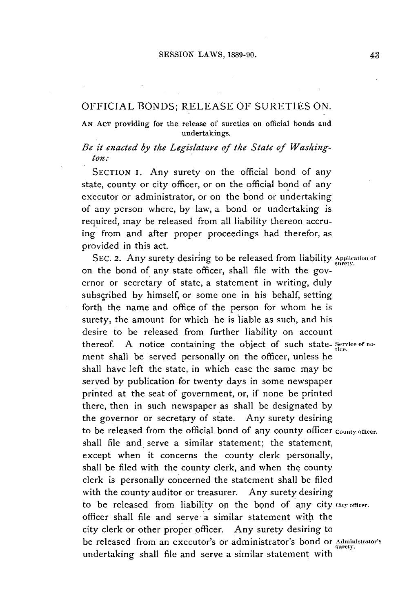#### **OFFICIAL BONDS; RELEASE** OF **SURETIES ON.**

**AN AcT providing for the release of sureties on official bonds and undertakings.**

#### *Be it enacted by the Legislature of the State of Washington.:*

**SECTION I.** Any surety on the official bond of any state, county or city officer, or on the official bond of **any** executor or administrator, or on the bond or undertaking of any person where, **by** law, a bond or undertaking is required, may be released from all liability thereon accruing from and after proper proceedings had therefor, as provided in this act.

SEC. 2. Any surety desiring to be released from liability **Application of** on the bond of any state officer, shall file with the governor or secretary of state, a statement in writing, duly subscribed **by** himself, or some one in his behalf, setting forth the name and office of the person for whom he is surety, the amount for which he is liable as such, and his desire to be released from further liability on account thereof. **A** notice containing the object of such state- **service of no**ment shall be served personally on the officer, unless he shall have left the state, in which case the same may be served **by** publication for twenty days in some newspaper printed at the seat of government, or, if none be printed there, then in such newspaper as shall be designated **by** the governor or secretary of state. Any surety desiring to be released from the official bond of any county officer **County officer.** shall file and serve a similar statement; the statement, except when it concerns the county clerk personally, shall be filed with the county clerk, and when the county clerk is personally concerned the statement shall be filed with the county auditor or treasurer. Any surety desiring to be released from liability on the bond of any city **Cay officer.** officer shall file and serve a similar statement with the city clerk or other proper officer. Any surety desiring to be released from an executor's or administrator's bond or **Administrator's surety.** undertaking shall file and serve a similar statement with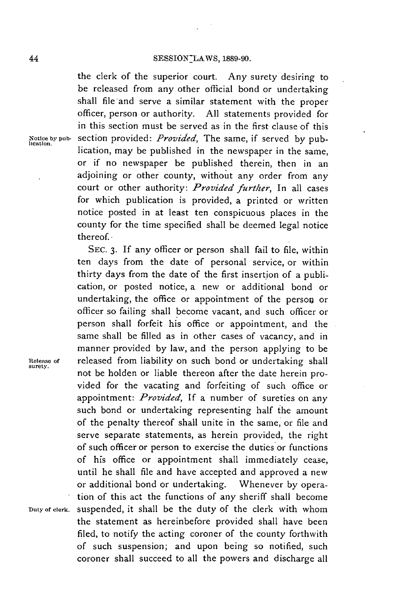the clerk of the superior court. Any surety desiring to be released from any other official bond or undertaking shall file and serve a similar statement with the proper officer, person or authority. **All** statements provided for in this section must be served as in the first clause of this **Noticebypub-** section provided: *Provided,* The same, if served **by** pub- **lication.** lication, may be published in the newspaper in the same, or if no newspaper be published therein, then in an adjoining or other county, without any order from any court or other authority: *Provided further,* In all cases for which publication is provided, a printed or written notice posted in at least ten conspicuous places in the county for the time specified shall be deemed legal notice thereof.

**SEc. 3. If** any officer or person shall fail to file, within ten days from the date of personal service, or within thirty days from the date of the first insertion of a publication, or posted notice, a new or additional bond or undertaking, the office or appointment of the person or officer so failing shall become vacant, and such officer or person shall forfeit his office or appointment, and the same shall **be** filled as in other cases of vacancy, and in manner provided **by** law, and the person applying to be Release of **released from liability on such bond or undertaking shall** not be holden or liable thereon after the date herein provided for the vacating and forfeiting of such office or appointment: *Provided, If* a number of sureties on any such bond or undertaking representing half the amount of the penalty thereof shall unite in the same, or file and serve separate statements, as herein provided, the right of such officer or person to exercise the duties or functions of his office or appointment shall immediately cease, until he shall file and have accepted and approved a new or additional bond or undertaking. Whenever **by** operation of this act the functions of any sheriff shall become **Dutyof clerk.** suspended, it shall be the duty of the clerk with whom the statement as hereinbefore provided shall have been filed, to notify the acting coroner of the county forthwith of such suspension; and upon being so notified, such coroner shall succeed to all the powers and discharge all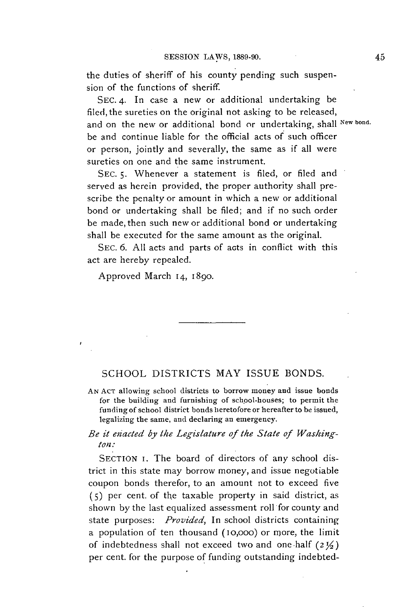the duties of sheriff of his county pending such suspension of the functions of sheriff.

**SEC.** 4. In case a new or additional undertaking be filed, the sureties on the original not asking to be released, and on the new or additional bond or undertaking, shall **New bond.** be and continue liable for the official acts of such officer or person, jointly and severally, the same as if all were sureties on one and the same instrument.

**SEC. 5.** Whenever a statement is filed, or filed and served as herein provided, the proper authority shall prescribe the penalty or amount in which a new or additional bond or undertaking shall be filed; and if no such order be made, then such new or additional bond or undertaking shall be executed for the same amount as the original.

SEC. 6. All acts and parts of acts in conflict with this act are hereby repealed.

Approved March **14, 1890.**

## **SCHOOL** DISTRICTS MAY ISSUE **BONDS.**

**AN ACT** allowing school districts to borrow money and issue bonds for the building and furnishing of school-houses; to permit the funding of school district bonds heretofore or hereafter to be issued, legalizing the same, and declaring an emergency.

#### *Be it eiacted by the Legislature of the State of Washington:*

SECTION **I**. The board of directors of any school district in this state may borrow money, and issue negotiable coupon bonds therefor, to an amount not to exceed five **(5)** per cent. of the taxable property in said district, as shown **by** the last equalized assessment roll for county and state purposes: *Provided,* In school districts containing a population of ten thousand (10,000) or more, the limit of indebtedness shall not exceed two and one-half  $(2\frac{1}{2})$ per cent. for the purpose of funding outstanding indebted-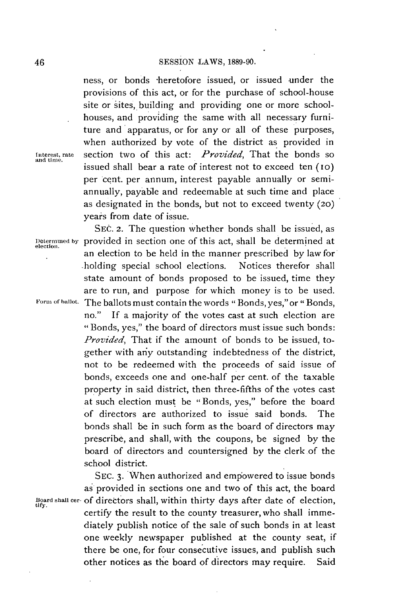ness, or bonds \*heretofore issued, or issued under the provisions of this act, or for the purchase of school-house site or sites, building and providing one or more schoolhouses, and providing the same with all necessary furniture and apparatus, or for any or all of these purposes, when authorized **by** vote of the district as provided in interest, rate section two of this act: *Provided,* That the bonds so and time. issued shall bear a rate of interest not to exceed ten (10) per cent. per annum, interest payable annually or semiannually, payable and redeemable at such time and place as designated in the bonds, but not to exceed twenty (20) years from date of issue.

SEC. 2. The question whether bonds shall be issued, as **Determmiled by** provided in section one of this act, shall be determined at **.** an election to be held in the manner prescribed **by** law for holding special school elections. Notices therefor shall state amount of bonds proposed to be issued, time they are to run, and purpose for which money is to be used. **Form of ballot.** The ballots must contain the words " Bonds, yes,"or " Bonds, no." If a majority of the votes cast at such election are " Bonds, yes," the board of directors must issue such bonds: *Provided,* That if the amount of bonds to be issued, together with any outstanding indebtedness of the district, not to be redeemed with the proceeds of said issue of bonds, exceeds one and one-half per cent. of the taxable property in said district, then three-fifths of the votes cast at such election must be "Bonds, yes," before the board of directors are authorized to issue said bonds. The bonds shall be in such form as the board of directors may prescribe, and shall, with the coupons, be signed **by** the board of directors and countersigned **by** the clerk.of the school district.

**SEC. 3.** When authorized and empowered to issue bonds as provided in sections one and two of this act, the board **Board shall cer-** of directors shall, within thirty days after date of election, **tify.** certify the result to the county treasurer, who shall immediately publish notice of the sale of such bonds in at least one weekly newspaper published at the county seat, if there be one, for four consecutive issues, and publish such other notices as the board of directors may require. Said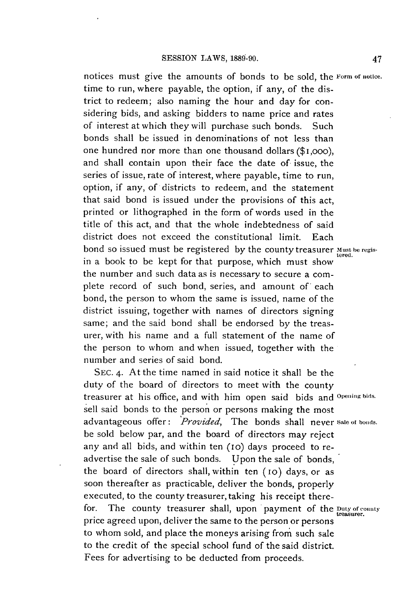notices must give the amounts of bonds to be sold, the **Form of notice.** time to run, where payable, the option, if any, of the district to redeem; also naming the hour and day for considering bids, and asking bidders to name price and rates of interest at which they will purchase such bonds. Such bonds shall be issued in denominations of not less than one hundred nor more than one thousand dollars (\$1,ooo), and shall contain upon their face the date of issue, the series of issue, rate of interest, where payable, time to run, option, if any, of districts to redeem, and the statement that said bond is issued under the provisions of this act, printed or lithographed in the form of words used in the title of this act, and that the whole indebtedness of said district does not exceed the constitutional limit. Each bond so issued must be registered by the county treasurer Must be regisin a book to be kept for that purpose, which must show the number and such data as is necessary to secure a complete record of such bond, series, and amount of each bond, the person to whom the same is issued, name of the district issuing, together with names of directors signing same; and the said bond shall be endorsed **by** the treasurer, with his name and a full statement of the name of the person to whom and when issued, together with the number and series of said bond.

**SEC.** 4. At the time named in said notice it shall be the duty of the board of directors to meet with the county treasurer at his office, and with him open said bids and **Opening bids.** sell said bonds to the person or persons making the most advantageous offer: *Provided,* The bonds shall never **sale or bonds.** be sold below par, and the board of directors may reject any and all bids, and within ten (io) days proceed to readvertise the sale of such bonds. Upon the sale of bonds, the board of directors shall, within ten (io) days, or as soon thereafter as practicable, deliver the bonds, properly executed, to the county treasurer, taking his receipt therefor. The county treasurer shall, upon payment of the *Duty of county* price agreed upon, deliver the same to the person or persons to whom sold, and place the moneys arising from such sale to the credit of the special school fund of the said district. Fees for advertising to **be** deducted from proceeds.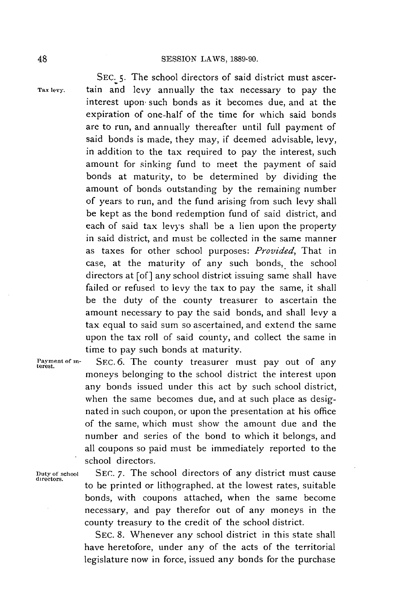**SEC. 5.** The school directors of said district must ascer-**Tax levy.** tain and levy annually the tax necessary to pay the interest upon. such bonds as it becomes due, and at the expiration of one-half of the time for which said bonds are to run, and annually thereafter until full payment of said bonds is made, they may, if deemed advisable, levy, in addition to the tax required to pay the interest, such amount for sinking fund to meet the payment of said bonds at maturity, to be determined **by** dividing the amount of bonds outstanding **by** the remaining number of years to run, and the fund arising from such levy shall be kept as the bond redemption fund of said district, and each of said tax levys shall be a lien upon the property in said district, and must be collected in the same manner as taxes for other school purposes: *Provided,* That in case, at the maturity of any such bonds, the school directors at [of] any school district issuing same shall have failed or refused to levy the tax to pay the same, it shall be the duty of the county treasurer to ascertain the amount necessary to pay the said bonds, and shall levy a tax equal to said sum so ascertained, and extend the same upon the tax roll of said county, and collect the same in time to pay such bonds at maturity.

**Payment of in- SEc. 6.** The county treasurer must pay out of any **terest.** moneys belonging to the school district the interest upon any bonds issued under this act **by** such school district, when the same becomes due, and at such place as designated in such coupon, or upon the presentation at his office of the same, which must show the amount due and the number and series of the bond to which it belongs, and all coupons so paid must be immediately reported to the school directors.

**Duty** of **school** *SEC.* **7.** The school directors of any district must cause **directors.** to be printed or lithographed. at the lowest rates, suitable bonds, with coupons attached, when the same become necessary, and pay therefor out of any moneys in the county treasury to the credit of the school district.

> **SEC. 8.** Whenever any school district in this state shall have heretofore, under any of the acts of the territorial legislature now in force, issued any bonds for the purchase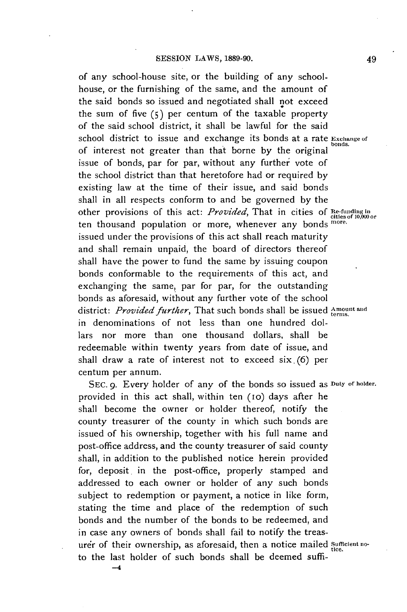of any school-house site, or the building of any schoolhouse, or the furnishing of the same, and the amount of the said bonds so issued and negotiated shall not exceed the sum of five **(5)** per centum of the taxable property of the said school district, it shall be lawful for the said school district to issue and exchange its bonds at a rate **Exchange** of of interest not greater than that borne **by** the original issue of bonds, par for par, without any further vote of the school district than that heretofore had or required **by** existing law at the time of their issue, and said bonds shall in all respects conform to and be governed **by** the other provisions of this act: *Provided,* That in cities of **Re-funding in** cities of **10,000** or ten thousand population or more, whenever any bonds **more.** issued under the provisions of this act shall reach maturity and shall remain unpaid, the board of directors thereof shall have the power to fund the same **by** issuing coupon bonds conformable to the requirements of this act, and exchanging the same, par for par, for the outstanding bonds as aforesaid, without any further vote of the school district: *Provided further*, That such bonds shall be issued *Amount* and in denominations of not less than one hundred dollars nor more than one thousand dollars, shall **be** redeemable within twenty years from date of issue, and shall draw a rate of interest not to exceed six. **(6)** per centum per annum.

**SEC. 9.** Every holder of any of the bonds so issued as **Duty of holder.** provided in this act shall, within ten (10) days after he shall become the owner or holder thereof, notify the county treasurer of the county in which such bonds are issued of his ownership, together with his full name and post-office address, and the county treasurer of said county shall, in addition to the published notice herein provided for, deposit in the post-office, properly stamped and addressed to each owner or holder of any such bonds subject to redemption or payment, a notice in like form, stating the time and place of the redemption of such bonds and the number of the bonds to be redeemed, and in case any owners of bonds shall fail to notify the treasurer of their ownership, as aforesaid, then a notice mailed *sufficient no*to the last holder of such bonds shall be deemed suffi-

**-4**

49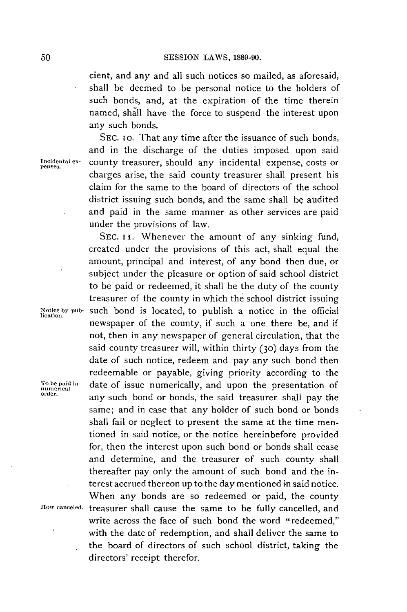cient, and any and all such notices so mailed, as aforesaid, shall be deemed to be personal notice to the holders of such bonds, and, at the expiration of the time therein named, shall have the force to suspend the interest upon any such bonds.

**SEC. Io.** That any time after the issuance of such bonds, and in the discharge of the duties imposed upon said **Incidental ex-** county treasurer, should any incidental expense, costs or charges arise, the said county treasurer shall present his claim for the same to the board of directors of the school district issuing such bonds, and the same shall be audited and paid in the same manner as other services are paid under the provisions of law.

SEC. II. Whenever the amount of any sinking fund, created under the provisions of this act, shall equal the amount, principal and interest, of any bond then due, or subject under the pleasure or option of said school district to be paid or redeemed, it shall be the duty of the county treasurer of the county in which the school district issuing **Notice by pub- Such** bond is located, to publish a notice in the official **lication.** newspaper of the county, if such a one there be, and if not, then in any newspaper of general circulation, that the said county treasurer will, within thirty (3o) days from the date of such notice, redeem and pay any such bond then redeemable or payable, giving priority according to the **To be paid in** date of issue numerically, and upon the presentation of **numerical** any such bond or bonds, the said treasurer shall pay the same; and in case that any holder of such bond or bonds shall fail or neglect to present the same at the time mentioned in said notice, or the notice hereinbefore provided for, then the interest upon such bond or bonds shall cease and determine, and the treasurer of such county shall thereafter pay only the amount of such bond and the interest accrued thereon up to the day mentioned in said notice. When any bonds are so redeemed or paid, the county How **canceled.** treasurer shall cause the same to be fully cancelled, and write across the face of such bond the word "redeemed," with the date of redemption, and shall deliver the same to the board of directors of such school district, taking the

directors' receipt therefor.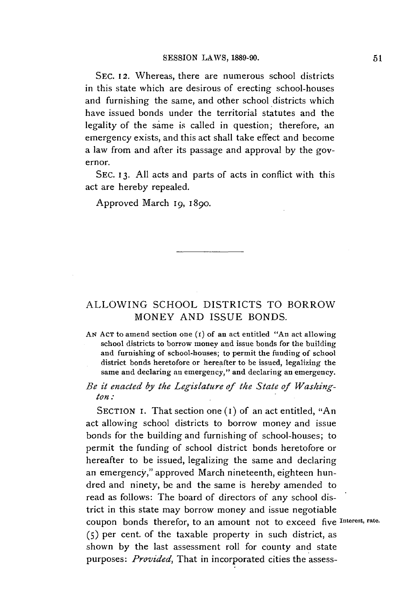**SEC. 12.** Whereas, there are numerous school districts in this state which are desirous of erecting school-houses and furnishing the same, and other school districts which have issued bonds under the territorial statutes and the legality of the same is called in question; therefore, an emergency exists, and this act shall take effect and become a law from and after its passage and approval **by** the governor.

**SEC. 13. All** acts and parts of acts in conflict with this act are hereby repealed.

Approved March 19, 1890.

## ALLOWING **SCHOOL** DISTRICTS TO BORROW MONEY **AND ISSUE BONDS.**

**AN AcT** to amend section one (i) of an act entitled "An act allowing school districts to borrow money and issue bonds for the building and furnishing of school-houses; to permit the funding of school district bonds heretofore or hereafter to be issued, legalizing the same and declaring an emergency," and declaring an emergency.

*Be it enacted by the Legislature of the State of Washington:*

**SECTION** I. That section one **(I)** of an act entitled, "An act allowing school districts to borrow money and issue bonds for the building and furnishing of school-houses; to permit the funding of school district bonds heretofore or hereafter to be issued, legalizing the same and declaring an emergency," approved March nineteenth, eighteen hundred and ninety, be and the same is hereby amended to read as follows: The board of directors of any school district in this state may borrow money and issue negotiable coupon bonds therefor, to an amount not to exceed five **Interest, rate. (5)** per cent. of the taxable property in such district, as shown **by** the last assessment roll for county and state *purposes: Provided,* That in incorporated cities the assess-